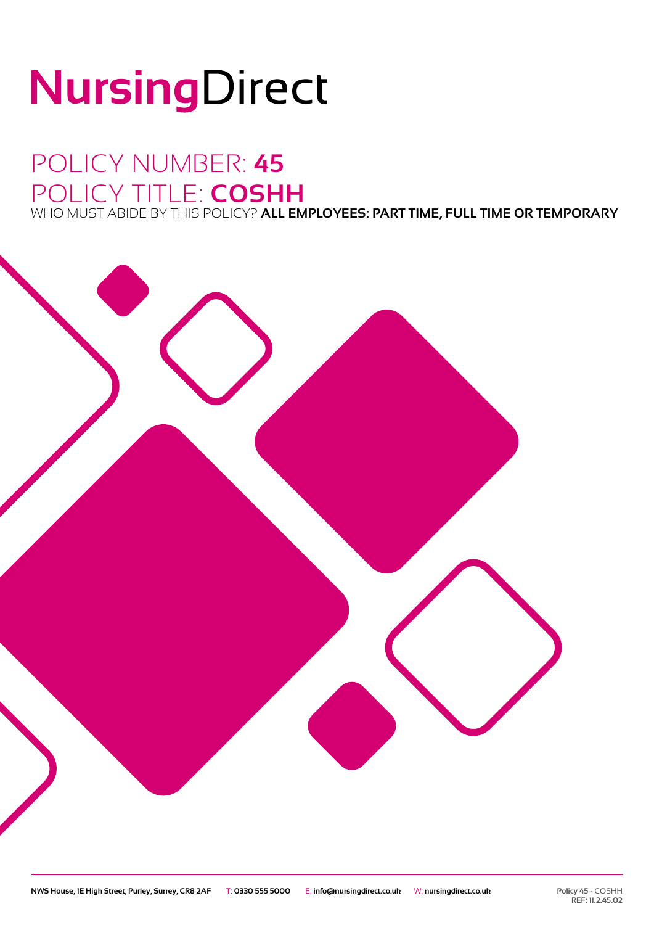# NursingDirect

### POLICY NUMBER: **45** POLICY TITLE: **COSHH** WHO MUST ABIDE BY THIS POLICY? **ALL EMPLOYEES: PART TIME, FULL TIME OR TEMPORARY**